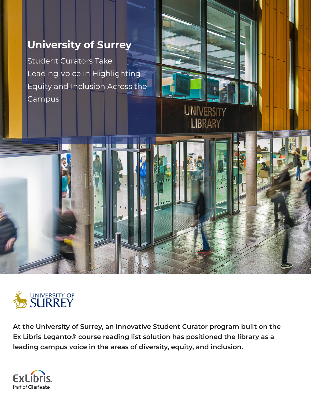# **University of Surrey**

Student Curators Take Leading Voice in Highlighting Equity and Inclusion Across the Campus



**At the University of Surrey, an innovative Student Curator program built on the Ex Libris Leganto® course reading list solution has positioned the library as a leading campus voice in the areas of diversity, equity, and inclusion.**

**UNIVERSITY** 

LIBRARY

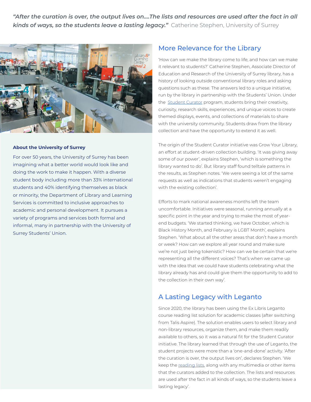*"After the curation is over, the output lives on.…The lists and resources are used after the fact in all kinds of ways, so the students leave a lasting legacy."* Catherine Stephen, University of Surrey



#### **About the University of Surrey**

For over 50 years, the University of Surrey has been imagining what a better world would look like and doing the work to make it happen. With a diverse student body including more than 33% international students and 40% identifying themselves as black or minority, the Department of Library and Learning Services is committed to inclusive approaches to academic and personal development. It pursues a variety of programs and services both formal and informal, many in partnership with the University of Surrey Students' Union.

#### More Relevance for the Library

'How can we make the library come to life, and how can we make it relevant to students?' Catherine Stephen, Associate Director of Education and Research of the University of Surrey library, has a history of looking outside conventional library roles and asking questions such as these. The answers led to a unique initiative, run by the library in partnership with the Students' Union. Under the **[Student Curator](https://library.surrey.ac.uk/student-curator) program, students bring their creativity,** curiosity, research skills, experiences, and unique voices to create themed displays, events, and collections of materials to share with the university community. Students draw from the library collection and have the opportunity to extend it as well.

The origin of the Student Curator initiative was Grow Your Library, an effort at student-driven collection building. 'It was giving away some of our power', explains Stephen, 'which is something the library wanted to do'. But library staff found telltale patterns in the results, as Stephen notes. 'We were seeing a lot of the same requests as well as indications that students weren't engaging with the existing collection'.

Efforts to mark national awareness months left the team uncomfortable. Initiatives were seasonal, running annually at a specific point in the year and trying to make the most of yearend budgets. 'We started thinking, we have October, which is Black History Month, and February is LGBT Month', explains Stephen. 'What about all the other areas that don't have a month or week? How can we explore all year round and make sure we're not just being tokenistic? How can we be certain that we're representing all the different voices? That's when we came up with the idea that we could have students celebrating what the library already has and could give them the opportunity to add to the collection in their own way'.

### A Lasting Legacy with Leganto

Since 2020, the library has been using the Ex Libris Leganto course reading list solution for academic classes (after switching from Talis Aspire). The solution enables users to select library and non-library resources, organize them, and make them readily available to others, so it was a natural fit for the Student Curator initiative. The library learned that through the use of Leganto, the student projects were more than a 'one-and-done' activity. 'After the curation is over, the output lives on', declares Stephen. 'We keep the [reading lists](https://readinglists.surrey.ac.uk/leganto/readinglist/lists/5259695060002346?institute=44SUR_INST&auth=SAML), along with any multimedia or other items that the curators added to the collection. The lists and resources are used after the fact in all kinds of ways, so the students leave a lasting legacy'.